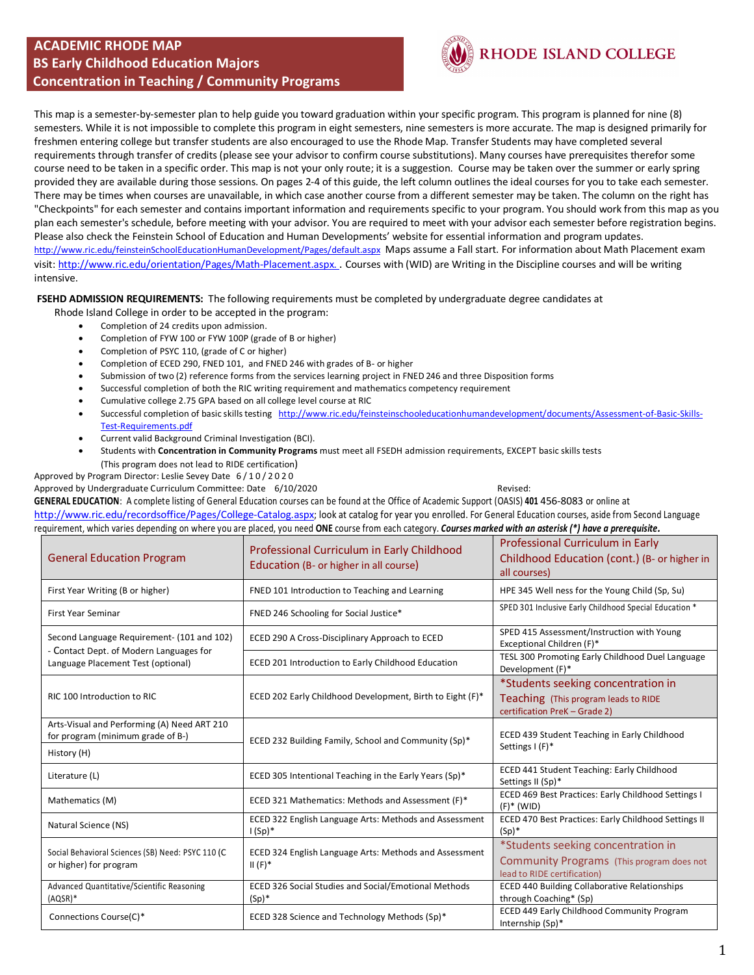#### **ACADEMIC RHODE MAP BS Early Childhood Education Majors Concentration in Teaching / Community Programs**



## RHODE ISLAND COLLEGE

This map is a semester-by-semester plan to help guide you toward graduation within your specific program. This program is planned for nine (8) semesters. While it is not impossible to complete this program in eight semesters, nine semesters is more accurate. The map is designed primarily for freshmen entering college but transfer students are also encouraged to use the Rhode Map. Transfer Students may have completed several requirements through transfer of credits (please see your advisor to confirm course substitutions). Many courses have prerequisites therefor some course need to be taken in a specific order. This map is not your only route; it is a suggestion. Course may be taken over the summer or early spring provided they are available during those sessions. On pages 2-4 of this guide, the left column outlines the ideal courses for you to take each semester. There may be times when courses are unavailable, in which case another course from a different semester may be taken. The column on the right has "Checkpoints" for each semester and contains important information and requirements specific to your program. You should work from this map as you plan each semester's schedule, before meeting with your advisor. You are required to meet with your advisor each semester before registration begins. Please also check the Feinstein School of Education and Human Developments' website for essential information and program updates. http://www.ric.edu/feinsteinSchoolEducationHumanDevelopment/Pages/default.aspxMaps assume a Fall start. For information about Math Placement exam visit: http://www.ric.edu/orientation/Pages/Math-Placement.aspx. . Courses with (WID) are Writing in the Discipline courses and will be writing intensive.

**FSEHD ADMISSION REQUIREMENTS:** The following requirements must be completed by undergraduate degree candidates at

Rhode Island College in order to be accepted in the program:

- Completion of 24 credits upon admission.
- Completion of FYW 100 or FYW 100P (grade of B or higher)
- Completion of PSYC 110, (grade of C or higher)
- Completion of ECED 290, FNED 101, and FNED 246 with grades of B- or higher
- Submission of two (2) reference forms from the services learning project in FNED 246 and three Disposition forms
- Successful completion of both the RIC writing requirement and mathematics competency requirement
- Cumulative college 2.75 GPA based on all college level course at RIC
- Successful completion of basic skills testing http://www.ric.edu/feinsteinschooleducationhumandevelopment/documents/Assessment-of-Basic-Skills-Test-Requirements.pdf
- Current valid Background Criminal Investigation (BCI).
- Students with **Concentration in Community Programs** must meet all FSEDH admission requirements, EXCEPT basic skills tests (This program does not lead to RIDE certification)

Approved by Program Director: Leslie Sevey Date 6/10/2020

Approved by Undergraduate Curriculum Committee: Date 6/10/2020 Curriculum Committee: Patential Revised:

**GENERAL EDUCATION**: A complete listing of General Education courses can be found at the Office of Academic Support (OASIS) **401** 456-8083 or online at

http://www.ric.edu/recordsoffice/Pages/College-Catalog.aspx; look at catalog for year you enrolled. For General Education courses, aside from Second Language requirement, which varies depending on where you are placed, you need **ONE** course from each category. *Courses marked with an asterisk (\*) have a prerequisite.*

| <b>General Education Program</b>                                                 | Professional Curriculum in Early Childhood<br>Education (B- or higher in all course) | Professional Curriculum in Early<br>Childhood Education (cont.) (B- or higher in<br>all courses)               |
|----------------------------------------------------------------------------------|--------------------------------------------------------------------------------------|----------------------------------------------------------------------------------------------------------------|
| First Year Writing (B or higher)                                                 | FNED 101 Introduction to Teaching and Learning                                       | HPE 345 Well ness for the Young Child (Sp, Su)                                                                 |
| First Year Seminar                                                               | FNED 246 Schooling for Social Justice*                                               | SPED 301 Inclusive Early Childhood Special Education *                                                         |
| Second Language Requirement- (101 and 102)                                       | ECED 290 A Cross-Disciplinary Approach to ECED                                       | SPED 415 Assessment/Instruction with Young<br>Exceptional Children (F)*                                        |
| - Contact Dept. of Modern Languages for<br>Language Placement Test (optional)    | ECED 201 Introduction to Early Childhood Education                                   | TESL 300 Promoting Early Childhood Duel Language<br>Development (F)*                                           |
| RIC 100 Introduction to RIC                                                      | ECED 202 Early Childhood Development, Birth to Eight (F)*                            | *Students seeking concentration in<br>Teaching (This program leads to RIDE<br>certification PreK - Grade 2)    |
| Arts-Visual and Performing (A) Need ART 210<br>for program (minimum grade of B-) | ECED 232 Building Family, School and Community (Sp)*                                 | ECED 439 Student Teaching in Early Childhood<br>Settings I (F)*                                                |
| History (H)                                                                      |                                                                                      |                                                                                                                |
| Literature (L)                                                                   | ECED 305 Intentional Teaching in the Early Years (Sp)*                               | ECED 441 Student Teaching: Early Childhood<br>Settings II (Sp)*                                                |
| Mathematics (M)                                                                  | ECED 321 Mathematics: Methods and Assessment (F)*                                    | ECED 469 Best Practices: Early Childhood Settings I<br>$(F)^*$ (WID)                                           |
| Natural Science (NS)                                                             | ECED 322 English Language Arts: Methods and Assessment<br>$1(Sp)^*$                  | ECED 470 Best Practices: Early Childhood Settings II<br>$(Sp)^*$                                               |
| Social Behavioral Sciences (SB) Need: PSYC 110 (C<br>or higher) for program      | ECED 324 English Language Arts: Methods and Assessment<br>$II(F)^*$                  | *Students seeking concentration in<br>Community Programs (This program does not<br>lead to RIDE certification) |
| Advanced Quantitative/Scientific Reasoning<br>$(AQSR)*$                          | ECED 326 Social Studies and Social/Emotional Methods<br>$(Sp)^*$                     | <b>ECED 440 Building Collaborative Relationships</b><br>through Coaching* (Sp)                                 |
| Connections Course(C)*                                                           | ECED 328 Science and Technology Methods (Sp)*                                        | ECED 449 Early Childhood Community Program<br>Internship (Sp)*                                                 |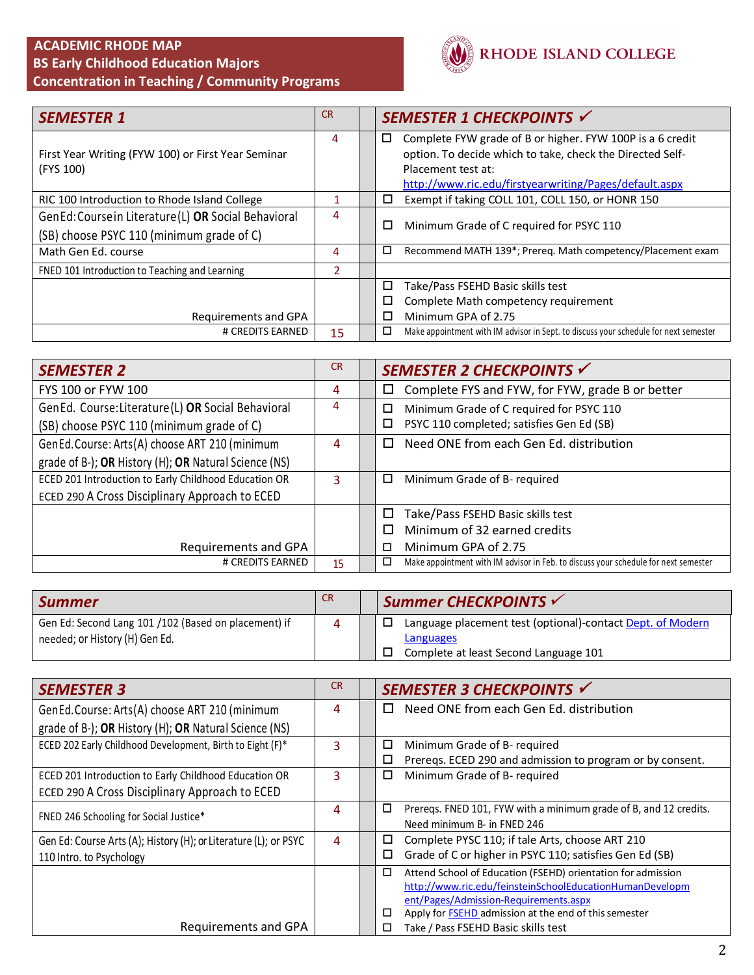### **ACADEMIC RHODE MAP BS Early Childhood Education Majors Concentration in Teaching / Community Programs**



| <b>SEMESTER 1</b>                                                                                 | <b>CR</b> | SEMESTER 1 CHECKPOINTS V                                                                                                                          |
|---------------------------------------------------------------------------------------------------|-----------|---------------------------------------------------------------------------------------------------------------------------------------------------|
| First Year Writing (FYW 100) or First Year Seminar<br>(FYS 100)                                   | 4         | Complete FYW grade of B or higher. FYW 100P is a 6 credit<br>□<br>option. To decide which to take, check the Directed Self-<br>Placement test at: |
| RIC 100 Introduction to Rhode Island College                                                      |           | http://www.ric.edu/firstyearwriting/Pages/default.aspx<br>Exempt if taking COLL 101, COLL 150, or HONR 150<br>$\Box$                              |
| GenEd: Course in Literature (L) OR Social Behavioral<br>(SB) choose PSYC 110 (minimum grade of C) | 4         | □<br>Minimum Grade of C required for PSYC 110                                                                                                     |
| Math Gen Ed. course                                                                               | 4         | □<br>Recommend MATH 139*; Prereq. Math competency/Placement exam                                                                                  |
| FNED 101 Introduction to Teaching and Learning                                                    | 2         |                                                                                                                                                   |
|                                                                                                   |           | □<br>Take/Pass FSEHD Basic skills test                                                                                                            |
| Requirements and GPA                                                                              |           | Complete Math competency requirement<br>□<br>Minimum GPA of 2.75<br>п                                                                             |
| # CREDITS EARNED                                                                                  | 15        | Make appointment with IM advisor in Sept. to discuss your schedule for next semester<br>□                                                         |

| <b>SEMESTER 2</b>                                     | <b>CR</b> | SEMESTER 2 CHECKPOINTS V                                                                 |
|-------------------------------------------------------|-----------|------------------------------------------------------------------------------------------|
| FYS 100 or FYW 100                                    | 4         | Complete FYS and FYW, for FYW, grade B or better                                         |
| GenEd. Course: Literature (L) OR Social Behavioral    | 4         | Minimum Grade of C required for PSYC 110<br>□                                            |
| (SB) choose PSYC 110 (minimum grade of C)             |           | PSYC 110 completed; satisfies Gen Ed (SB)<br>□                                           |
| GenEd.Course: Arts(A) choose ART 210 (minimum         | 4         | Need ONE from each Gen Ed. distribution                                                  |
| grade of B-); OR History (H); OR Natural Science (NS) |           |                                                                                          |
| ECED 201 Introduction to Early Childhood Education OR | 3         | Minimum Grade of B- required<br>□                                                        |
| ECED 290 A Cross Disciplinary Approach to ECED        |           |                                                                                          |
|                                                       |           | Take/Pass FSEHD Basic skills test                                                        |
|                                                       |           | Minimum of 32 earned credits                                                             |
| Requirements and GPA                                  |           | Minimum GPA of 2.75                                                                      |
| # CREDITS EARNED                                      | 15        | Make appointment with IM advisor in Feb. to discuss your schedule for next semester<br>◻ |

| <b>Summer</b>                                        | <b>CR</b> | Summer CHECKPOINTS                                         |
|------------------------------------------------------|-----------|------------------------------------------------------------|
| Gen Ed: Second Lang 101 /102 (Based on placement) if |           | Language placement test (optional)-contact Dept. of Modern |
| needed; or History (H) Gen Ed.                       |           | Languages                                                  |
|                                                      |           | Complete at least Second Language 101                      |

| <b>SEMESTER 3</b>                                                | <b>CR</b> | SEMESTER 3 CHECKPOINTS √                                                    |
|------------------------------------------------------------------|-----------|-----------------------------------------------------------------------------|
| GenEd.Course: Arts(A) choose ART 210 (minimum                    | 4         | Need ONE from each Gen Ed. distribution<br>□                                |
| grade of B-); OR History (H); OR Natural Science (NS)            |           |                                                                             |
| ECED 202 Early Childhood Development, Birth to Eight (F)*        | 3         | Minimum Grade of B- required<br>□                                           |
|                                                                  |           | Prereqs. ECED 290 and admission to program or by consent.<br>⊔              |
| ECED 201 Introduction to Early Childhood Education OR            | 3         | Minimum Grade of B- required<br>□                                           |
| ECED 290 A Cross Disciplinary Approach to ECED                   |           |                                                                             |
| FNED 246 Schooling for Social Justice*                           | 4         | $\Box$<br>Prereqs. FNED 101, FYW with a minimum grade of B, and 12 credits. |
|                                                                  |           | Need minimum B- in FNED 246                                                 |
| Gen Ed: Course Arts (A); History (H); or Literature (L); or PSYC | 4         | Complete PYSC 110; if tale Arts, choose ART 210<br>□                        |
| 110 Intro. to Psychology                                         |           | Grade of C or higher in PSYC 110; satisfies Gen Ed (SB)<br>□                |
|                                                                  |           | □<br>Attend School of Education (FSEHD) orientation for admission           |
|                                                                  |           | http://www.ric.edu/feinsteinSchoolEducationHumanDevelopm                    |
|                                                                  |           | ent/Pages/Admission-Requirements.aspx                                       |
|                                                                  |           | Apply for <b>FSEHD</b> admission at the end of this semester<br>□           |
| Requirements and GPA                                             |           | Take / Pass FSEHD Basic skills test                                         |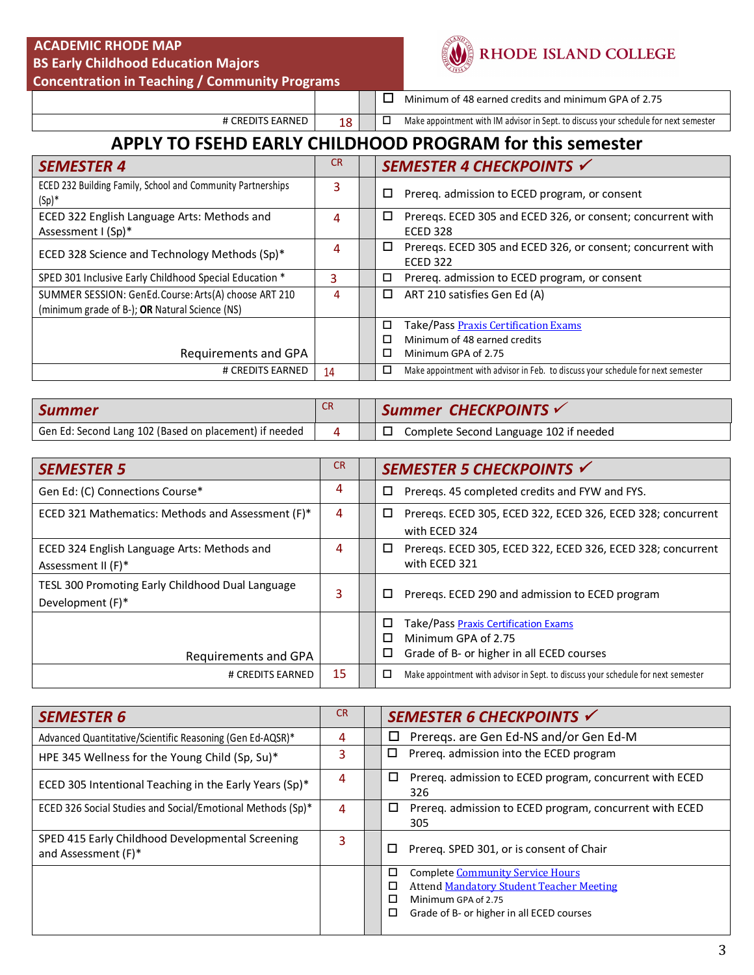#### **ACADEMIC RHODE MAP BS Early Childhood Education Majors**

 **Concentration in Teaching / Community Programs** 



## RHODE ISLAND COLLEGE

 $\Box$  Minimum of 48 earned credits and minimum GPA of 2.75

# CREDITS EARNED  $\begin{array}{|c|c|c|c|c|}\n\hline\n\text{18} & \text{I} & \text{I} & \text{Make appointment with IM advisor in Sept. to discuss your schedule for next semester}\n\hline\n\end{array}$ 

## **APPLY TO FSEHD EARLY CHILDHOOD PROGRAM for this semester**

| <b>SEMESTER 4</b>                                                                                       | <b>CR</b> | SEMESTER 4 CHECKPOINTS √                                                                                   |
|---------------------------------------------------------------------------------------------------------|-----------|------------------------------------------------------------------------------------------------------------|
| ECED 232 Building Family, School and Community Partnerships<br>$(Sp)^*$                                 | 3         | Prereq. admission to ECED program, or consent<br>□                                                         |
| ECED 322 English Language Arts: Methods and<br>Assessment I (Sp)*                                       | 4         | Preregs. ECED 305 and ECED 326, or consent; concurrent with<br>□<br><b>ECED 328</b>                        |
| ECED 328 Science and Technology Methods (Sp)*                                                           | 4         | Preregs. ECED 305 and ECED 326, or consent; concurrent with<br>0<br><b>ECED 322</b>                        |
| SPED 301 Inclusive Early Childhood Special Education *                                                  | 3         | Prereq. admission to ECED program, or consent<br>□                                                         |
| SUMMER SESSION: GenEd. Course: Arts(A) choose ART 210<br>(minimum grade of B-); OR Natural Science (NS) | 4         | ART 210 satisfies Gen Ed (A)<br>□                                                                          |
| Requirements and GPA                                                                                    |           | Take/Pass Praxis Certification Exams<br>□<br>Minimum of 48 earned credits<br>п<br>Minimum GPA of 2.75<br>п |
| # CREDITS EARNED                                                                                        | 14        | Make appointment with advisor in Feb. to discuss your schedule for next semester<br>П                      |

| <b>Summer</b>                                          |  | Summer CHECKPOINTS                               |
|--------------------------------------------------------|--|--------------------------------------------------|
| Gen Ed: Second Lang 102 (Based on placement) if needed |  | Complete Second Language 102 if needed<br>$\Box$ |

| <b>SEMESTER 5</b>                                                    | <b>CR</b> | SEMESTER 5 CHECKPOINTS √                                                                                                |
|----------------------------------------------------------------------|-----------|-------------------------------------------------------------------------------------------------------------------------|
| Gen Ed: (C) Connections Course*                                      | 4         | Prereqs. 45 completed credits and FYW and FYS.<br>□                                                                     |
| ECED 321 Mathematics: Methods and Assessment (F)*                    | 4         | Prereqs. ECED 305, ECED 322, ECED 326, ECED 328; concurrent<br>□<br>with ECED 324                                       |
| ECED 324 English Language Arts: Methods and<br>Assessment II (F)*    | 4         | Prereqs. ECED 305, ECED 322, ECED 326, ECED 328; concurrent<br>□<br>with ECED 321                                       |
| TESL 300 Promoting Early Childhood Dual Language<br>Development (F)* |           | Prereqs. ECED 290 and admission to ECED program<br>ш                                                                    |
| Requirements and GPA                                                 |           | Take/Pass Praxis Certification Exams<br>□<br>Minimum GPA of 2.75<br>п<br>Grade of B- or higher in all ECED courses<br>□ |
| # CREDITS EARNED                                                     | 15        | Make appointment with advisor in Sept. to discuss your schedule for next semester<br>□                                  |

| <b>SEMESTER 6</b>                                                       | <b>CR</b> | SEMESTER 6 CHECKPOINTS √                                                                             |
|-------------------------------------------------------------------------|-----------|------------------------------------------------------------------------------------------------------|
| Advanced Quantitative/Scientific Reasoning (Gen Ed-AQSR)*               | 4         | Preregs. are Gen Ed-NS and/or Gen Ed-M<br>□                                                          |
| HPE 345 Wellness for the Young Child (Sp, Su)*                          | 3         | Prereq. admission into the ECED program<br>□                                                         |
| ECED 305 Intentional Teaching in the Early Years $(Sp)^*$               | 4         | □<br>Prereq. admission to ECED program, concurrent with ECED<br>326                                  |
| ECED 326 Social Studies and Social/Emotional Methods (Sp)*              | 4         | □<br>Prereq. admission to ECED program, concurrent with ECED<br>305                                  |
| SPED 415 Early Childhood Developmental Screening<br>and Assessment (F)* | 3         | Prereg. SPED 301, or is consent of Chair<br>□                                                        |
|                                                                         |           | ◻<br><b>Complete Community Service Hours</b><br><b>Attend Mandatory Student Teacher Meeting</b><br>⊏ |
|                                                                         |           | Minimum GPA of 2.75<br>г<br>◻<br>Grade of B- or higher in all ECED courses                           |